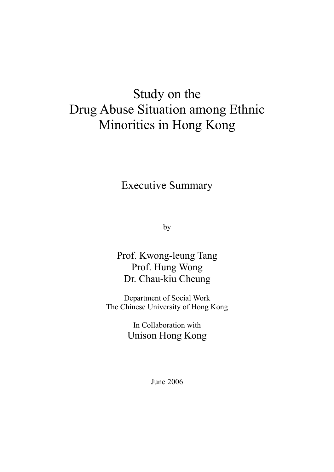# Study on the Drug Abuse Situation among Ethnic Minorities in Hong Kong

Executive Summary

by

Prof. Kwong-leung Tang Prof. Hung Wong Dr. Chau-kiu Cheung

Department of Social Work The Chinese University of Hong Kong

> In Collaboration with Unison Hong Kong

> > June 2006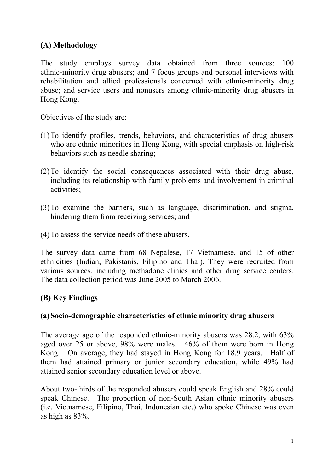## **(A) Methodology**

The study employs survey data obtained from three sources: 100 ethnic-minority drug abusers; and 7 focus groups and personal interviews with rehabilitation and allied professionals concerned with ethnic-minority drug abuse; and service users and nonusers among ethnic-minority drug abusers in Hong Kong.

Objectives of the study are:

- (1) To identify profiles, trends, behaviors, and characteristics of drug abusers who are ethnic minorities in Hong Kong, with special emphasis on high-risk behaviors such as needle sharing;
- (2) To identify the social consequences associated with their drug abuse, including its relationship with family problems and involvement in criminal activities;
- (3) To examine the barriers, such as language, discrimination, and stigma, hindering them from receiving services; and
- (4) To assess the service needs of these abusers.

The survey data came from 68 Nepalese, 17 Vietnamese, and 15 of other ethnicities (Indian, Pakistanis, Filipino and Thai). They were recruited from various sources, including methadone clinics and other drug service centers. The data collection period was June 2005 to March 2006.

## **(B) Key Findings**

#### **(a) Socio-demographic characteristics of ethnic minority drug abusers**

The average age of the responded ethnic-minority abusers was 28.2, with 63% aged over 25 or above, 98% were males. 46% of them were born in Hong Kong. On average, they had stayed in Hong Kong for 18.9 years. Half of them had attained primary or junior secondary education, while 49% had attained senior secondary education level or above.

About two-thirds of the responded abusers could speak English and 28% could speak Chinese. The proportion of non-South Asian ethnic minority abusers (i.e. Vietnamese, Filipino, Thai, Indonesian etc.) who spoke Chinese was even as high as 83%.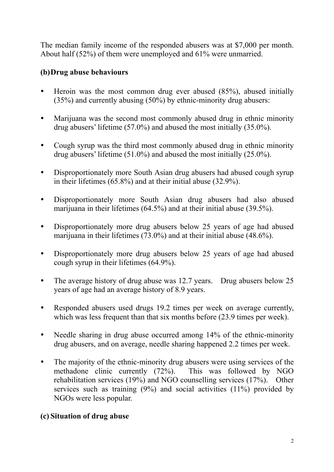The median family income of the responded abusers was at \$7,000 per month. About half (52%) of them were unemployed and 61% were unmarried.

## **(b) Drug abuse behaviours**

- $\bullet$  Heroin was the most common drug ever abused (85%), abused initially (35%) and currently abusing (50%) by ethnic-minority drug abusers:
- Marijuana was the second most commonly abused drug in ethnic minority drug abusers' lifetime (57.0%) and abused the most initially (35.0%).
- Cough syrup was the third most commonly abused drug in ethnic minority drug abusers' lifetime (51.0%) and abused the most initially (25.0%).
- Disproportionately more South Asian drug abusers had abused cough syrup in their lifetimes (65.8%) and at their initial abuse (32.9%).
- Disproportionately more South Asian drug abusers had also abused marijuana in their lifetimes (64.5%) and at their initial abuse (39.5%).
- Disproportionately more drug abusers below 25 years of age had abused marijuana in their lifetimes (73.0%) and at their initial abuse (48.6%).
- Disproportionately more drug abusers below 25 years of age had abused cough syrup in their lifetimes (64.9%).
- The average history of drug abuse was 12.7 years. Drug abusers below 25 years of age had an average history of 8.9 years.
- Responded abusers used drugs 19.2 times per week on average currently, which was less frequent than that six months before  $(23.9 \text{ times per week})$ .
- Needle sharing in drug abuse occurred among 14% of the ethnic-minority drug abusers, and on average, needle sharing happened 2.2 times per week.
- The majority of the ethnic-minority drug abusers were using services of the methadone clinic currently (72%). This was followed by NGO rehabilitation services (19%) and NGO counselling services (17%). Other services such as training  $(9\%)$  and social activities  $(11\%)$  provided by NGOs were less popular.

### **(c) Situation of drug abuse**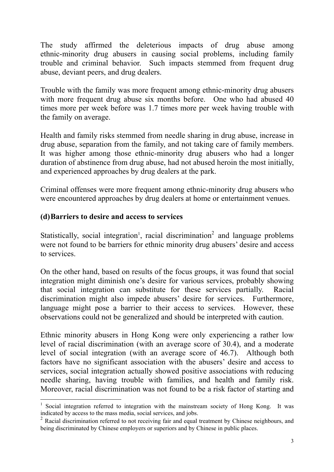The study affirmed the deleterious impacts of drug abuse among ethnic-minority drug abusers in causing social problems, including family trouble and criminal behavior. Such impacts stemmed from frequent drug abuse, deviant peers, and drug dealers.

Trouble with the family was more frequent among ethnic-minority drug abusers with more frequent drug abuse six months before. One who had abused 40 times more per week before was 1.7 times more per week having trouble with the family on average.

Health and family risks stemmed from needle sharing in drug abuse, increase in drug abuse, separation from the family, and not taking care of family members. It was higher among those ethnic-minority drug abusers who had a longer duration of abstinence from drug abuse, had not abused heroin the most initially, and experienced approaches by drug dealers at the park.

Criminal offenses were more frequent among ethnic-minority drug abusers who were encountered approaches by drug dealers at home or entertainment venues.

#### **(d) Barriers to desire and access to services**

 $\overline{a}$ 

Statistically, social integration<sup>1</sup>, racial discrimination<sup>2</sup> and language problems were not found to be barriers for ethnic minority drug abusers' desire and access to services.

On the other hand, based on results of the focus groups, it was found that social integration might diminish one's desire for various services, probably showing that social integration can substitute for these services partially. Racial discrimination might also impede abusers' desire for services. Furthermore, language might pose a barrier to their access to services. However, these observations could not be generalized and should be interpreted with caution.

Ethnic minority abusers in Hong Kong were only experiencing a rather low level of racial discrimination (with an average score of 30.4), and a moderate level of social integration (with an average score of 46.7). Although both factors have no significant association with the abusers' desire and access to services, social integration actually showed positive associations with reducing needle sharing, having trouble with families, and health and family risk. Moreover, racial discrimination was not found to be a risk factor of starting and

<sup>&</sup>lt;sup>1</sup> Social integration referred to integration with the mainstream society of Hong Kong. It was indicated by access to the mass media, social services, and jobs.

 $^{2}$  Racial discrimination referred to not receiving fair and equal treatment by Chinese neighbours, and being discriminated by Chinese employers or superiors and by Chinese in public places.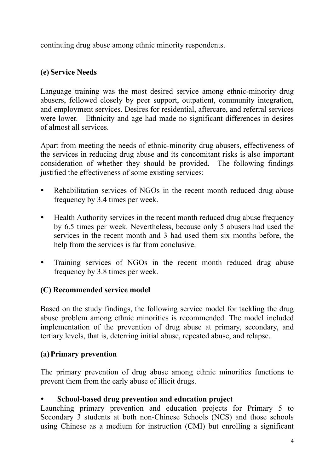continuing drug abuse among ethnic minority respondents.

## **(e) Service Needs**

Language training was the most desired service among ethnic-minority drug abusers, followed closely by peer support, outpatient, community integration, and employment services. Desires for residential, aftercare, and referral services were lower. Ethnicity and age had made no significant differences in desires of almost all services.

Apart from meeting the needs of ethnic-minority drug abusers, effectiveness of the services in reducing drug abuse and its concomitant risks is also important consideration of whether they should be provided. The following findings justified the effectiveness of some existing services:

- Rehabilitation services of NGOs in the recent month reduced drug abuse frequency by 3.4 times per week.
- Health Authority services in the recent month reduced drug abuse frequency by 6.5 times per week. Nevertheless, because only 5 abusers had used the services in the recent month and 3 had used them six months before, the help from the services is far from conclusive.
- Training services of NGOs in the recent month reduced drug abuse frequency by 3.8 times per week.

## **(C) Recommended service model**

Based on the study findings, the following service model for tackling the drug abuse problem among ethnic minorities is recommended. The model included implementation of the prevention of drug abuse at primary, secondary, and tertiary levels, that is, deterring initial abuse, repeated abuse, and relapse.

### **(a) Primary prevention**

The primary prevention of drug abuse among ethnic minorities functions to prevent them from the early abuse of illicit drugs.

### School-based drug prevention and education project

Launching primary prevention and education projects for Primary 5 to Secondary 3 students at both non-Chinese Schools (NCS) and those schools using Chinese as a medium for instruction (CMI) but enrolling a significant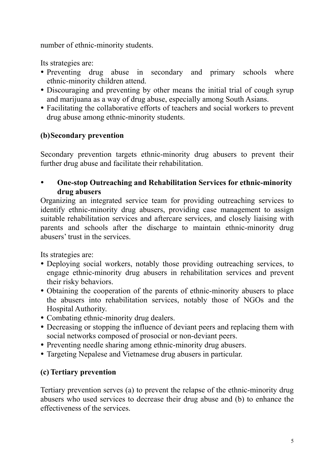number of ethnic-minority students.

Its strategies are:

- Preventing drug abuse in secondary and primary schools where ethnic-minority children attend.
- Discouraging and preventing by other means the initial trial of cough syrup and marijuana as a way of drug abuse, especially among South Asians.
- Facilitating the collaborative efforts of teachers and social workers to prevent drug abuse among ethnic-minority students.

# **(b) Secondary prevention**

Secondary prevention targets ethnic-minority drug abusers to prevent their further drug abuse and facilitate their rehabilitation.

y **One-stop Outreaching and Rehabilitation Services for ethnic-minority drug abusers** 

Organizing an integrated service team for providing outreaching services to identify ethnic-minority drug abusers, providing case management to assign suitable rehabilitation services and aftercare services, and closely liaising with parents and schools after the discharge to maintain ethnic-minority drug abusers' trust in the services.

Its strategies are:

- Deploying social workers, notably those providing outreaching services, to engage ethnic-minority drug abusers in rehabilitation services and prevent their risky behaviors.
- Obtaining the cooperation of the parents of ethnic-minority abusers to place the abusers into rehabilitation services, notably those of NGOs and the Hospital Authority.
- Combating ethnic-minority drug dealers.
- Decreasing or stopping the influence of deviant peers and replacing them with social networks composed of prosocial or non-deviant peers.
- Preventing needle sharing among ethnic-minority drug abusers.
- Targeting Nepalese and Vietnamese drug abusers in particular.

# **(c) Tertiary prevention**

Tertiary prevention serves (a) to prevent the relapse of the ethnic-minority drug abusers who used services to decrease their drug abuse and (b) to enhance the effectiveness of the services.